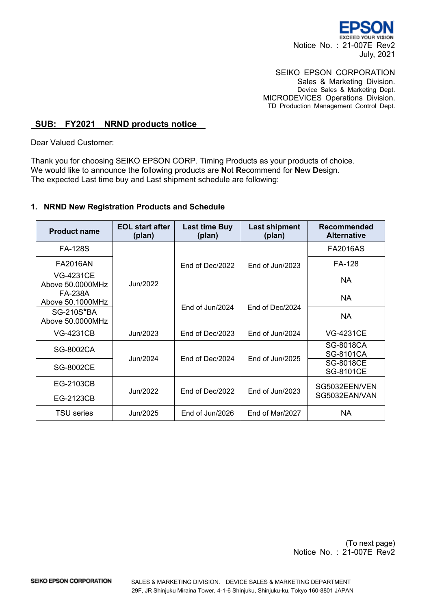

## SEIKO EPSON CORPORATION

Sales & Marketing Division. Device Sales & Marketing Dept. MICRODEVICES Operations Division. TD Production Management Control Dept.

## **SUB: FY2021 NRND products notice**

Dear Valued Customer:

Thank you for choosing SEIKO EPSON CORP. Timing Products as your products of choice. We would like to announce the following products are **N**ot **R**ecommend for **N**ew **D**esign. The expected Last time buy and Last shipment schedule are following:

## **1. NRND New Registration Products and Schedule**

| <b>Product name</b>                   | <b>EOL start after</b><br>(plan) | Last time Buy<br>(plan) | <b>Last shipment</b><br>(plan) | Recommended<br><b>Alternative</b>    |
|---------------------------------------|----------------------------------|-------------------------|--------------------------------|--------------------------------------|
| <b>FA-128S</b>                        |                                  | End of Dec/2022         | End of Jun/2023                | <b>FA2016AS</b>                      |
| <b>FA2016AN</b>                       |                                  |                         |                                | FA-128                               |
| <b>VG-4231CE</b><br>Above 50.0000MHz  | Jun/2022                         |                         |                                | NA                                   |
| FA-238A<br>Above 50.1000MHz           |                                  |                         |                                | NA.                                  |
| <b>SG-210S*BA</b><br>Above 50.0000MHz |                                  | End of Jun/2024         | End of Dec/2024                | NA.                                  |
| <b>VG-4231CB</b>                      | Jun/2023                         | End of Dec/2023         | End of Jun/2024                | <b>VG-4231CE</b>                     |
| SG-8002CA                             | Jun/2024                         | End of Dec/2024         | End of $Jun/2025$              | <b>SG-8018CA</b><br><b>SG-8101CA</b> |
| <b>SG-8002CE</b>                      |                                  |                         |                                | <b>SG-8018CE</b><br><b>SG-8101CE</b> |
| EG-2103CB                             |                                  |                         |                                | SG5032EEN/VEN                        |
| EG-2123CB                             | Jun/2022                         | End of Dec/2022         | End of Jun/2023                | SG5032EAN/VAN                        |
| <b>TSU</b> series                     | Jun/2025                         | End of Jun/2026         | End of Mar/2027                | NA                                   |